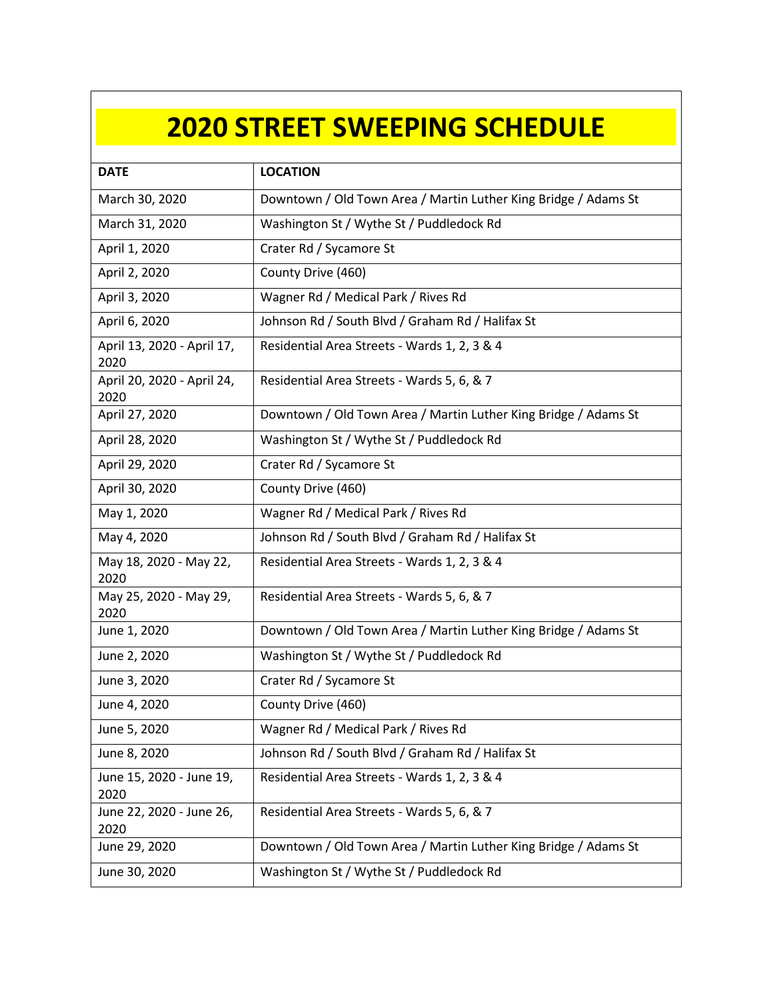## **2020 STREET SWEEPING SCHEDULE**

| <b>DATE</b>                        | <b>LOCATION</b>                                                 |
|------------------------------------|-----------------------------------------------------------------|
| March 30, 2020                     | Downtown / Old Town Area / Martin Luther King Bridge / Adams St |
| March 31, 2020                     | Washington St / Wythe St / Puddledock Rd                        |
| April 1, 2020                      | Crater Rd / Sycamore St                                         |
| April 2, 2020                      | County Drive (460)                                              |
| April 3, 2020                      | Wagner Rd / Medical Park / Rives Rd                             |
| April 6, 2020                      | Johnson Rd / South Blvd / Graham Rd / Halifax St                |
| April 13, 2020 - April 17,<br>2020 | Residential Area Streets - Wards 1, 2, 3 & 4                    |
| April 20, 2020 - April 24,<br>2020 | Residential Area Streets - Wards 5, 6, & 7                      |
| April 27, 2020                     | Downtown / Old Town Area / Martin Luther King Bridge / Adams St |
| April 28, 2020                     | Washington St / Wythe St / Puddledock Rd                        |
| April 29, 2020                     | Crater Rd / Sycamore St                                         |
| April 30, 2020                     | County Drive (460)                                              |
| May 1, 2020                        | Wagner Rd / Medical Park / Rives Rd                             |
| May 4, 2020                        | Johnson Rd / South Blvd / Graham Rd / Halifax St                |
| May 18, 2020 - May 22,<br>2020     | Residential Area Streets - Wards 1, 2, 3 & 4                    |
| May 25, 2020 - May 29,<br>2020     | Residential Area Streets - Wards 5, 6, & 7                      |
| June 1, 2020                       | Downtown / Old Town Area / Martin Luther King Bridge / Adams St |
| June 2, 2020                       | Washington St / Wythe St / Puddledock Rd                        |
| June 3, 2020                       | Crater Rd / Sycamore St                                         |
| June 4, 2020                       | County Drive (460)                                              |
| June 5, 2020                       | Wagner Rd / Medical Park / Rives Rd                             |
| June 8, 2020                       | Johnson Rd / South Blvd / Graham Rd / Halifax St                |
| June 15, 2020 - June 19,<br>2020   | Residential Area Streets - Wards 1, 2, 3 & 4                    |
| June 22, 2020 - June 26,<br>2020   | Residential Area Streets - Wards 5, 6, & 7                      |
| June 29, 2020                      | Downtown / Old Town Area / Martin Luther King Bridge / Adams St |
| June 30, 2020                      | Washington St / Wythe St / Puddledock Rd                        |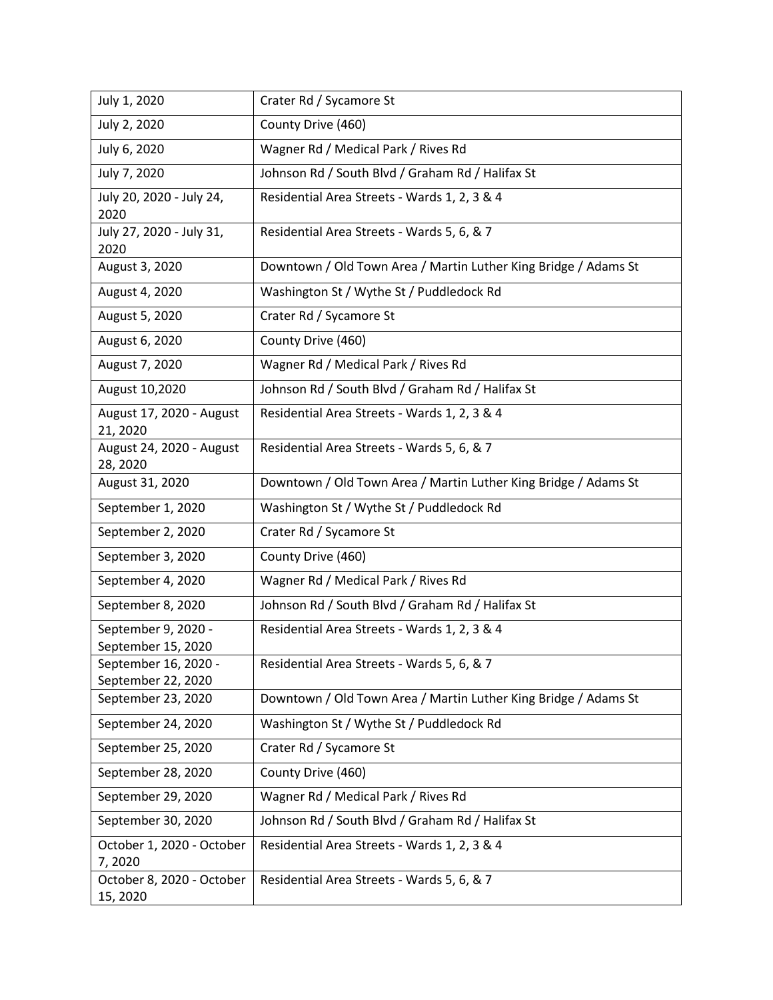| July 1, 2020                               | Crater Rd / Sycamore St                                         |
|--------------------------------------------|-----------------------------------------------------------------|
| July 2, 2020                               | County Drive (460)                                              |
| July 6, 2020                               | Wagner Rd / Medical Park / Rives Rd                             |
| July 7, 2020                               | Johnson Rd / South Blvd / Graham Rd / Halifax St                |
| July 20, 2020 - July 24,<br>2020           | Residential Area Streets - Wards 1, 2, 3 & 4                    |
| July 27, 2020 - July 31,<br>2020           | Residential Area Streets - Wards 5, 6, & 7                      |
| August 3, 2020                             | Downtown / Old Town Area / Martin Luther King Bridge / Adams St |
| August 4, 2020                             | Washington St / Wythe St / Puddledock Rd                        |
| August 5, 2020                             | Crater Rd / Sycamore St                                         |
| August 6, 2020                             | County Drive (460)                                              |
| August 7, 2020                             | Wagner Rd / Medical Park / Rives Rd                             |
| August 10,2020                             | Johnson Rd / South Blvd / Graham Rd / Halifax St                |
| August 17, 2020 - August<br>21, 2020       | Residential Area Streets - Wards 1, 2, 3 & 4                    |
| August 24, 2020 - August<br>28, 2020       | Residential Area Streets - Wards 5, 6, & 7                      |
| August 31, 2020                            | Downtown / Old Town Area / Martin Luther King Bridge / Adams St |
| September 1, 2020                          | Washington St / Wythe St / Puddledock Rd                        |
| September 2, 2020                          | Crater Rd / Sycamore St                                         |
| September 3, 2020                          | County Drive (460)                                              |
| September 4, 2020                          | Wagner Rd / Medical Park / Rives Rd                             |
| September 8, 2020                          | Johnson Rd / South Blvd / Graham Rd / Halifax St                |
| September 9, 2020 -<br>September 15, 2020  | Residential Area Streets - Wards 1, 2, 3 & 4                    |
| September 16, 2020 -<br>September 22, 2020 | Residential Area Streets - Wards 5, 6, & 7                      |
| September 23, 2020                         | Downtown / Old Town Area / Martin Luther King Bridge / Adams St |
| September 24, 2020                         | Washington St / Wythe St / Puddledock Rd                        |
| September 25, 2020                         | Crater Rd / Sycamore St                                         |
| September 28, 2020                         | County Drive (460)                                              |
| September 29, 2020                         | Wagner Rd / Medical Park / Rives Rd                             |
| September 30, 2020                         | Johnson Rd / South Blvd / Graham Rd / Halifax St                |
| October 1, 2020 - October<br>7,2020        | Residential Area Streets - Wards 1, 2, 3 & 4                    |
| October 8, 2020 - October<br>15, 2020      | Residential Area Streets - Wards 5, 6, & 7                      |